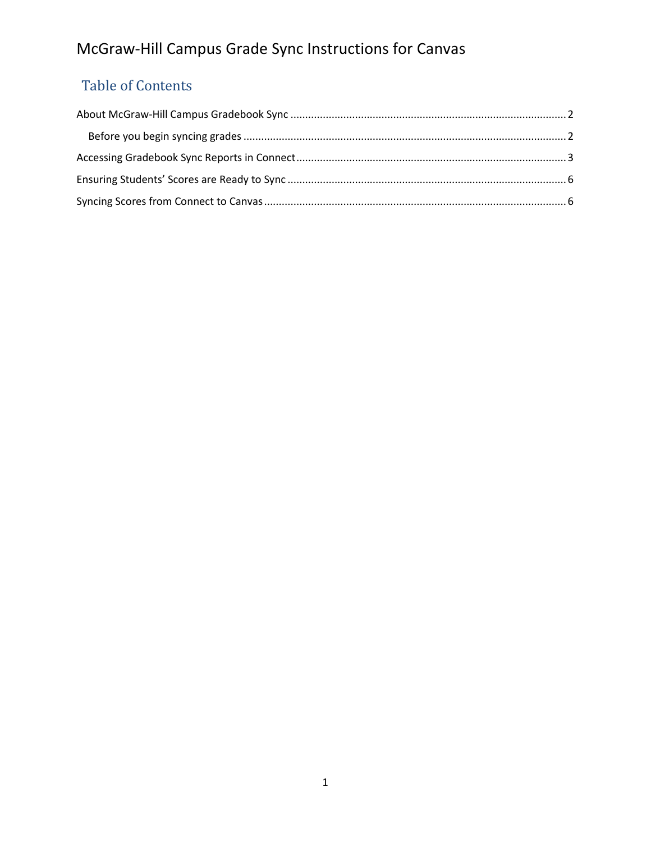# Table of Contents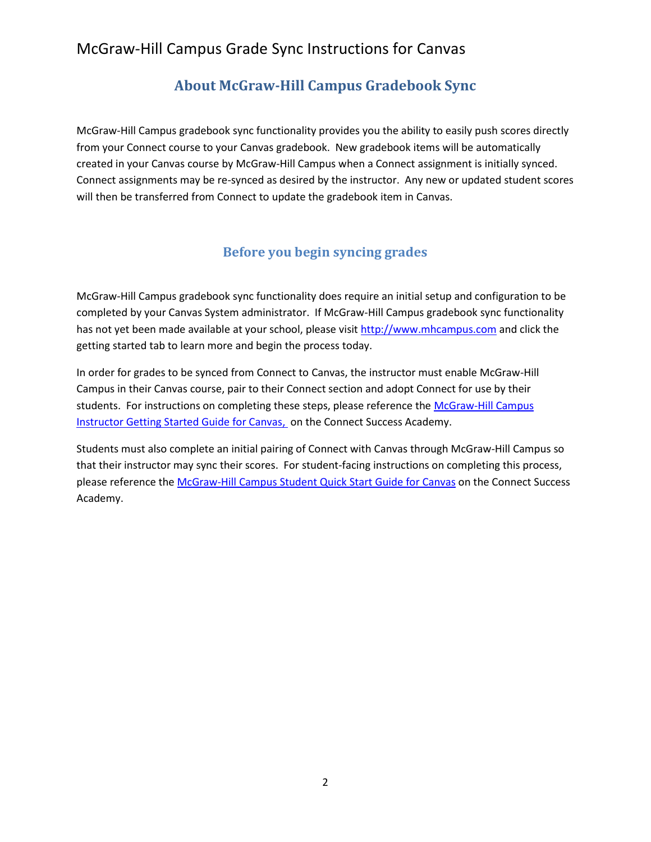### **About McGraw-Hill Campus Gradebook Sync**

<span id="page-1-0"></span>McGraw-Hill Campus gradebook sync functionality provides you the ability to easily push scores directly from your Connect course to your Canvas gradebook. New gradebook items will be automatically created in your Canvas course by McGraw-Hill Campus when a Connect assignment is initially synced. Connect assignments may be re-synced as desired by the instructor. Any new or updated student scores will then be transferred from Connect to update the gradebook item in Canvas.

#### **Before you begin syncing grades**

<span id="page-1-1"></span>McGraw-Hill Campus gradebook sync functionality does require an initial setup and configuration to be completed by your Canvas System administrator. If McGraw-Hill Campus gradebook sync functionality has not yet been made available at your school, please visit [http://www.mhcampus.com](http://www.mhcampus.com/) and click the getting started tab to learn more and begin the process today.

In order for grades to be synced from Connect to Canvas, the instructor must enable McGraw-Hill Campus in their Canvas course, pair to their Connect section and adopt Connect for use by their students. For instructions on completing these steps, please reference the [McGraw-Hill Campus](http://create.mcgraw-hill.com/wordpress-mu/success-academy/canvas-resources/)  [Instructor Getting Started Guide for Canvas,](http://create.mcgraw-hill.com/wordpress-mu/success-academy/canvas-resources/) on the Connect Success Academy.

Students must also complete an initial pairing of Connect with Canvas through McGraw-Hill Campus so that their instructor may sync their scores. For student-facing instructions on completing this process, please reference th[e McGraw-Hill Campus Student Quick Start](http://create.mcgraw-hill.com/wordpress-mu/success-academy/canvas-resources/#.UKKwi4fAeW0) Guide for Canvas on the Connect Success Academy.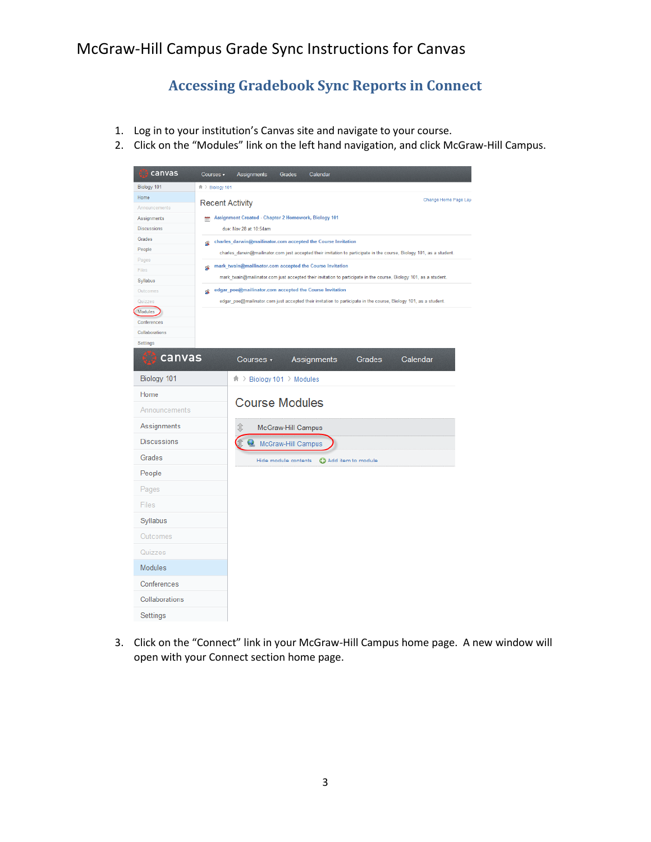## **Accessing Gradebook Sync Reports in Connect**

- <span id="page-2-0"></span>1. Log in to your institution's Canvas site and navigate to your course.
- 2. Click on the "Modules" link on the left hand navigation, and click McGraw-Hill Campus.

| canvas                            | Courses v              | Assignments                                                                    | Grades               | Calendar                                                     |                    |                                                                                                                       |
|-----------------------------------|------------------------|--------------------------------------------------------------------------------|----------------------|--------------------------------------------------------------|--------------------|-----------------------------------------------------------------------------------------------------------------------|
| Biology 101                       | 命 > Biology 101        |                                                                                |                      |                                                              |                    |                                                                                                                       |
| Home                              | <b>Recent Activity</b> |                                                                                |                      |                                                              |                    | Change Home Page Lay                                                                                                  |
| Announcements                     |                        |                                                                                |                      |                                                              |                    |                                                                                                                       |
| Assignments<br><b>Discussions</b> | 箭                      | Assignment Created - Chapter 2 Homework, Biology 101<br>due: Nov 28 at 10:54am |                      |                                                              |                    |                                                                                                                       |
| Grades                            |                        |                                                                                |                      |                                                              |                    |                                                                                                                       |
| People                            | ø.                     |                                                                                |                      | charles_darwin@mailinator.com accepted the Course Invitation |                    |                                                                                                                       |
| Pages                             |                        |                                                                                |                      |                                                              |                    | charles_darwin@mailinator.com just accepted their invitation to participate in the course, Biology 101, as a student. |
| Files                             | ള                      |                                                                                |                      | mark_twain@mailinator.com accepted the Course Invitation     |                    |                                                                                                                       |
| Syllabus                          |                        |                                                                                |                      |                                                              |                    | mark_twain@mailinator.com just accepted their invitation to participate in the course, Biology 101, as a student.     |
| Outcomes                          | Q                      |                                                                                |                      | edgar_poe@mailinator.com accepted the Course Invitation      |                    |                                                                                                                       |
| Quizzes<br>Modules                |                        |                                                                                |                      |                                                              |                    | edgar_poe@mailinator.com just accepted their invitation to participate in the course, Biology 101, as a student.      |
| Conferences                       |                        |                                                                                |                      |                                                              |                    |                                                                                                                       |
| Collaborations                    |                        |                                                                                |                      |                                                              |                    |                                                                                                                       |
| Settings                          |                        |                                                                                |                      |                                                              |                    |                                                                                                                       |
| canvas                            |                        | Courses $\overline{\phantom{a}}$                                               |                      | Assignments                                                  | Grades             | Calendar                                                                                                              |
| Biology 101                       |                        | 甫 > Biology 101 > Modules                                                      |                      |                                                              |                    |                                                                                                                       |
| Home                              |                        | <b>Course Modules</b>                                                          |                      |                                                              |                    |                                                                                                                       |
| Announcements                     |                        |                                                                                |                      |                                                              |                    |                                                                                                                       |
| Assignments                       |                        |                                                                                | McGraw-Hill Campus   |                                                              |                    |                                                                                                                       |
| <b>Discussions</b>                |                        |                                                                                | McGraw-Hill Campus   |                                                              |                    |                                                                                                                       |
| Grades                            |                        |                                                                                | Hide module contents |                                                              | Add item to module |                                                                                                                       |
| People                            |                        |                                                                                |                      |                                                              |                    |                                                                                                                       |
| Pages                             |                        |                                                                                |                      |                                                              |                    |                                                                                                                       |
| Files                             |                        |                                                                                |                      |                                                              |                    |                                                                                                                       |
| Syllabus                          |                        |                                                                                |                      |                                                              |                    |                                                                                                                       |
| Outcomes                          |                        |                                                                                |                      |                                                              |                    |                                                                                                                       |
| Quizzes                           |                        |                                                                                |                      |                                                              |                    |                                                                                                                       |
| <b>Modules</b>                    |                        |                                                                                |                      |                                                              |                    |                                                                                                                       |
| Conferences                       |                        |                                                                                |                      |                                                              |                    |                                                                                                                       |
| Collaborations                    |                        |                                                                                |                      |                                                              |                    |                                                                                                                       |
| Settings                          |                        |                                                                                |                      |                                                              |                    |                                                                                                                       |

3. Click on the "Connect" link in your McGraw-Hill Campus home page. A new window will open with your Connect section home page.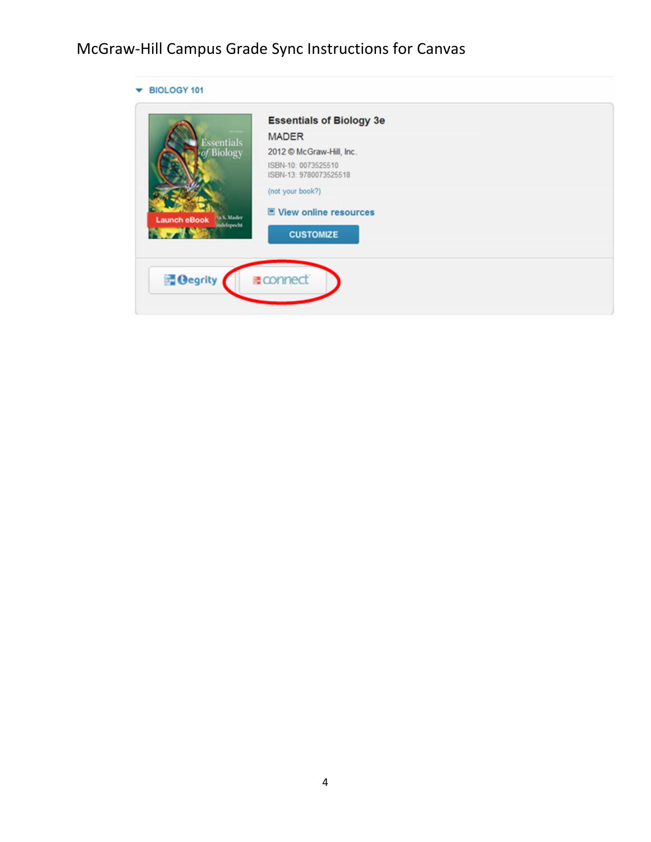|                                          | <b>Essentials of Biology 3e</b>               |  |
|------------------------------------------|-----------------------------------------------|--|
| <b>Essentials</b>                        | <b>MADER</b>                                  |  |
| of Biology                               | 2012 © McGraw-Hill, Inc.                      |  |
|                                          | ISBN-10: 0073525510<br>ISBN-13: 9780073525518 |  |
|                                          | (not your book?)                              |  |
| <b>Jack Mader</b><br><b>Launch eBook</b> | 国 View online resources                       |  |
| <b>Indeliproht</b>                       | <b>CUSTOMIZE</b>                              |  |
|                                          |                                               |  |
| <b><i><u>degrity</u></i></b>             | ■ connect                                     |  |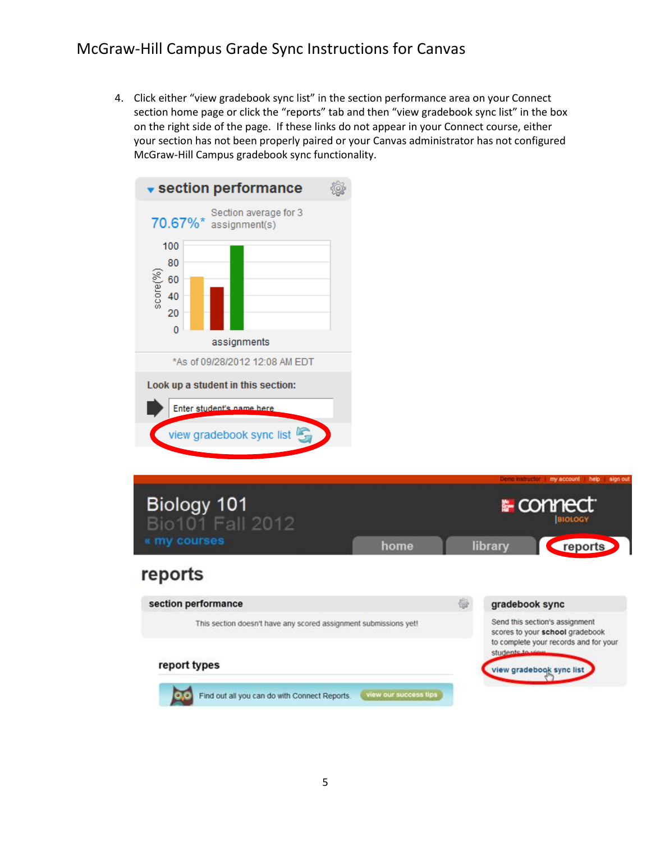4. Click either "view gradebook sync list" in the section performance area on your Connect section home page or click the "reports" tab and then "view gradebook sync list" in the box on the right side of the page. If these links do not appear in your Connect course, either your section has not been properly paired or your Canvas administrator has not configured McGraw-Hill Campus gradebook sync functionality.



Look up a student in this section:





#### report types

Find out all you can do with Connect Reports.

view our success tips

view gradebook sync list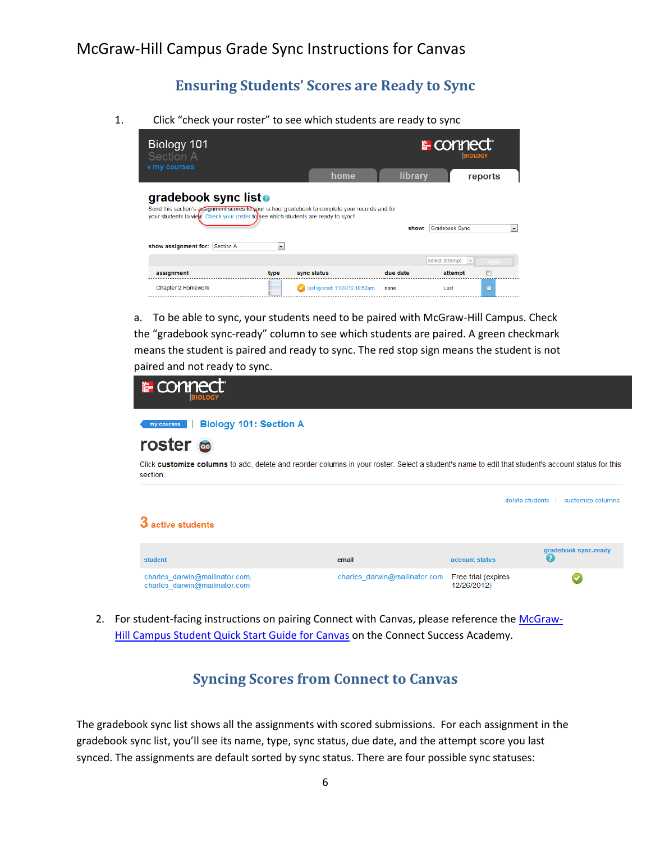### **Ensuring Students' Scores are Ready to Sync**

<span id="page-5-0"></span>1. Click "check your roster" to see which students are ready to sync

| Biology 101<br>Section A                                                                                                                                                                                                                                                                                                      |                               |          | <b>E</b> connect<br><b>BIOLOGY</b>                    |           |  |  |
|-------------------------------------------------------------------------------------------------------------------------------------------------------------------------------------------------------------------------------------------------------------------------------------------------------------------------------|-------------------------------|----------|-------------------------------------------------------|-----------|--|--|
| « my courses                                                                                                                                                                                                                                                                                                                  | home                          | library  |                                                       | reports   |  |  |
| gradebook sync listo<br>Send this section's assignment scores to your school gradebook to complete your records and for<br>your students to view. Check your roster to see which students are ready to sync!<br>Gradebook Sync<br>show:<br>$\overline{\phantom{a}}$<br>show assignment for: Section A<br>$\blacktriangledown$ |                               |          |                                                       |           |  |  |
| assignment<br>type                                                                                                                                                                                                                                                                                                            | sync status                   | due date | select attempt<br>$\overline{\phantom{a}}$<br>attempt | sync<br>F |  |  |
| <b>Chapter 2 Homework</b>                                                                                                                                                                                                                                                                                                     | last synced: 11/28/12 10:52am | none     | Last                                                  | $\square$ |  |  |

a. To be able to sync, your students need to be paired with McGraw-Hill Campus. Check the "gradebook sync-ready" column to see which students are paired. A green checkmark means the student is paired and ready to sync. The red stop sign means the student is not paired and not ready to sync.

| <b>Enclosed</b>                                                                                                                                                                                                                  |                               |                                    |                           |
|----------------------------------------------------------------------------------------------------------------------------------------------------------------------------------------------------------------------------------|-------------------------------|------------------------------------|---------------------------|
| <b>Biology 101: Section A</b><br>my courses<br>roster <b>co</b><br>Click customize columns to add, delete and reorder columns in your roster. Select a student's name to edit that student's account status for this<br>section. |                               |                                    |                           |
| 3 active students                                                                                                                                                                                                                |                               | delete students                    | customize columns         |
| student                                                                                                                                                                                                                          | email                         | account status                     | gradebook sync-ready<br>Q |
| charles darwin@mailinator.com,<br>charles darwin@mailinator.com                                                                                                                                                                  | charles darwin@mailinator.com | Free trial (expires<br>12/26/2012) | ✔                         |

<span id="page-5-1"></span>2. For student-facing instructions on pairing Connect with Canvas, please reference the [McGraw-](http://create.mcgraw-hill.com/wordpress-mu/success-academy/canvas-resources/)[Hill Campus Student Quick Start Guide for Canvas](http://create.mcgraw-hill.com/wordpress-mu/success-academy/canvas-resources/) on the Connect Success Academy.

### **Syncing Scores from Connect to Canvas**

The gradebook sync list shows all the assignments with scored submissions. For each assignment in the gradebook sync list, you'll see its name, type, sync status, due date, and the attempt score you last synced. The assignments are default sorted by sync status. There are four possible sync statuses: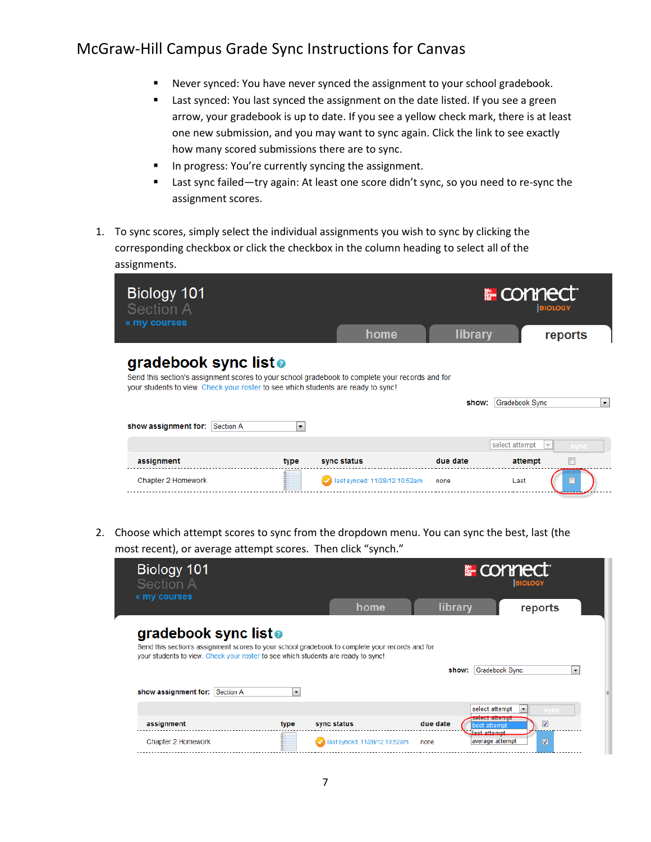- Never synced: You have never synced the assignment to your school gradebook.
- **EXEC** Last synced: You last synced the assignment on the date listed. If you see a green arrow, your gradebook is up to date. If you see a yellow check mark, there is at least one new submission, and you may want to sync again. Click the link to see exactly how many scored submissions there are to sync.
- In progress: You're currently syncing the assignment.
- Last sync failed—try again: At least one score didn't sync, so you need to re-sync the assignment scores.
- 1. To sync scores, simply select the individual assignments you wish to sync by clicking the corresponding checkbox or click the checkbox in the column heading to select all of the assignments.

| Biology 101<br><b>Section A</b>                                                                                                                                                                                                                | <b>E</b> connect         |                               |          |                | <b>BIOLOGY</b>       |  |
|------------------------------------------------------------------------------------------------------------------------------------------------------------------------------------------------------------------------------------------------|--------------------------|-------------------------------|----------|----------------|----------------------|--|
| « my courses                                                                                                                                                                                                                                   |                          | home                          | library  |                | reports              |  |
| gradebook sync listo<br>Send this section's assignment scores to your school gradebook to complete your records and for<br>your students to view. Check your roster to see which students are ready to sync!<br>show assignment for: Section A | $\overline{\phantom{a}}$ |                               | show:    | Gradebook Sync | $\blacktriangledown$ |  |
|                                                                                                                                                                                                                                                |                          |                               |          | select attempt | sync                 |  |
| assignment                                                                                                                                                                                                                                     | type                     | sync status                   | due date | attempt        |                      |  |
| Chapter 2 Homework                                                                                                                                                                                                                             |                          | last synced: 11/28/12 10:52am | none     | Last           |                      |  |

2. Choose which attempt scores to sync from the dropdown menu. You can sync the best, last (the most recent), or average attempt scores. Then click "synch."